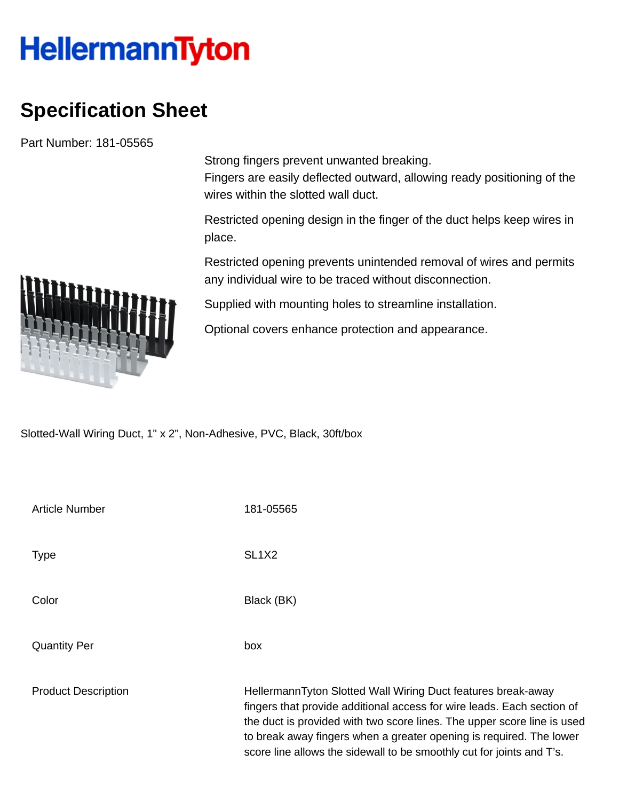## **HellermannTyton**

## **Specification Sheet**

Part Number: 181-05565

Strong fingers prevent unwanted breaking.

Fingers are easily deflected outward, allowing ready positioning of the wires within the slotted wall duct.

Restricted opening design in the finger of the duct helps keep wires in place.

Restricted opening prevents unintended removal of wires and permits any individual wire to be traced without disconnection.

Supplied with mounting holes to streamline installation.

Optional covers enhance protection and appearance.

Slotted-Wall Wiring Duct, 1" x 2", Non-Adhesive, PVC, Black, 30ft/box

| <b>Article Number</b>      | 181-05565                                                                                                                                                                                                                                                                                                                                                         |
|----------------------------|-------------------------------------------------------------------------------------------------------------------------------------------------------------------------------------------------------------------------------------------------------------------------------------------------------------------------------------------------------------------|
| Type                       | SL <sub>1</sub> X <sub>2</sub>                                                                                                                                                                                                                                                                                                                                    |
| Color                      | Black (BK)                                                                                                                                                                                                                                                                                                                                                        |
| Quantity Per               | box                                                                                                                                                                                                                                                                                                                                                               |
| <b>Product Description</b> | HellermannTyton Slotted Wall Wiring Duct features break-away<br>fingers that provide additional access for wire leads. Each section of<br>the duct is provided with two score lines. The upper score line is used<br>to break away fingers when a greater opening is required. The lower<br>score line allows the sidewall to be smoothly cut for joints and T's. |

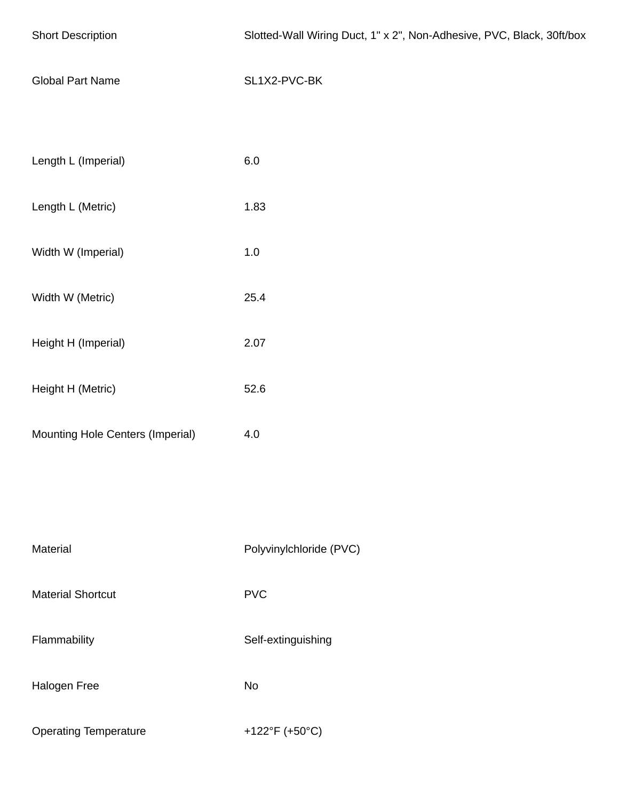| <b>Short Description</b>         | Slotted-Wall Wiring Duct, 1" x 2", Non-Adhesive, PVC, Black, 30ft/box |
|----------------------------------|-----------------------------------------------------------------------|
| <b>Global Part Name</b>          | SL1X2-PVC-BK                                                          |
|                                  |                                                                       |
| Length L (Imperial)              | $6.0\,$                                                               |
| Length L (Metric)                | 1.83                                                                  |
| Width W (Imperial)               | $1.0\,$                                                               |
| Width W (Metric)                 | 25.4                                                                  |
| Height H (Imperial)              | 2.07                                                                  |
| Height H (Metric)                | 52.6                                                                  |
| Mounting Hole Centers (Imperial) | 4.0                                                                   |
|                                  |                                                                       |
|                                  |                                                                       |
| Material                         | Polyvinylchloride (PVC)                                               |
| <b>Material Shortcut</b>         | <b>PVC</b>                                                            |
| Flammability                     | Self-extinguishing                                                    |
| Halogen Free                     | No                                                                    |
| <b>Operating Temperature</b>     | +122°F (+50°C)                                                        |